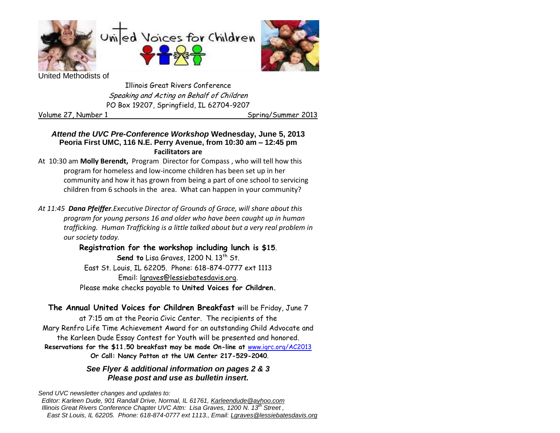



ed Methodists of

Illinois Great Rivers Conference Speaking and Acting on Behalf of Children PO Box 19207, Springfield, IL 62704-9207

Volume 27, Number 1 Spring/Summer 2013

### *Attend the UVC Pre-Conference Workshop* **Wednesday, June 5, 2013 Peoria First UMC, 116 N.E. Perry Avenue, from 10:30 am – 12:45 pm Facilitators are**

At 10:30 am **Molly Berendt,** Program Director for Compass , who will tell how this program for homeless and low-income children has been set up in her community and how it has grown from being a part of one school to servicing children from 6 schools in the area. What can happen in your community?

*At 11:45 Dana Pfeiffer.Executive Director of Grounds of Grace, will share about this program for young persons 16 and older who have been caught up in human trafficking. Human Trafficking is a little talked about but a very real problem in our society today.*

> **Registration for the workshop including lunch is \$15**. **Send to** Lisa Graves, 1200 N, 13<sup>th</sup> St. East St. Louis, IL 62205. Phone: 618-874-0777 ext 1113 Email: [lgraves@lessiebatesdavis.org.](mailto:lgraves@lessiebatesdavis.org) Please make checks payable to **United Voices for Children.**

**The Annual United Voices for Children Breakfast** will be Friday, June 7 at 7:15 am at the Peoria Civic Center. The recipients of the Mary Renfro Life Time Achievement Award for an outstanding Child Advocate and the Karleen Dude Essay Contest for Youth will be presented and honored. **Reservations for the \$11.50 breakfast may be made On-line at** [www.igrc.org/AC2013](http://www.igrc.org/AC2013) **Or Call: Nancy Patton at the UM Center 217-529-2040**.

### *See Flyer & additional information on pages 2 & 3 Please post and use as bulletin insert.*

*Send UVC newsletter changes and updates to: Editor: Karleen Dude, 901 Randall Drive, Normal, IL 61761, [Karleendude@ayhoo.com](mailto:Karleendude@ayhoo.com) Illinois Great Rivers Conference Chapter UVC Attn: Lisa Graves, 1200 N. 13th Street , East St Louis, IL 62205. Phone: 618-874-0777 ext 1113., Email: [Lgraves@lessiebatesdavis.org](mailto:Lgraves@lessiebatesdavis.org)*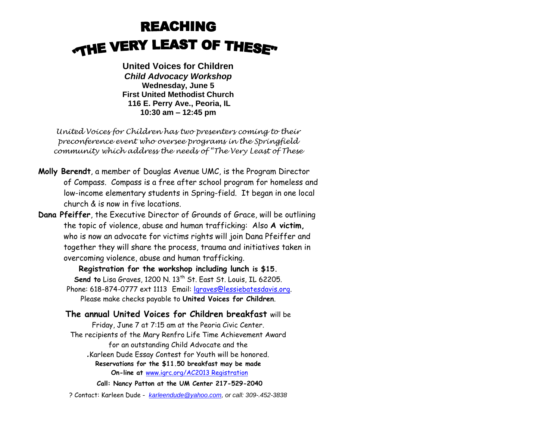# **REACHING THE VERY LEAST OF THESE"**

**United Voices for Children**  *Child Advocacy Workshop* **Wednesday, June 5 First United Methodist Church 116 E. Perry Ave., Peoria, IL 10:30 am – 12:45 pm**

*United Voices for Children has two presenters coming to their preconference event who oversee programs in the Springfield community which address the needs of "The Very Least of These*

- **Molly Berendt**, a member of Douglas Avenue UMC, is the Program Director of Compass. Compass is a free after school program for homeless and low-income elementary students in Spring-field. It began in one local church & is now in five locations.
- **Dana Pfeiffer**, the Executive Director of Grounds of Grace, will be outlining the topic of violence, abuse and human trafficking: Also **A victim,** who is now an advocate for victims rights will join Dana Pfeiffer and together they will share the process, trauma and initiatives taken in overcoming violence, abuse and human trafficking.

**Registration for the workshop including lunch is \$15. Send to** Lisa Graves, 1200 N. 13<sup>th</sup> St. East St. Louis, IL 62205. Phone: 618-874-0777 ext 1113 Email: [lgraves@lessiebatesdavis.org.](mailto:lgraves@lessiebatesdavis.org) Please make checks payable to **United Voices for Children**.

**The annual United Voices for Children breakfast** will be Friday, June 7 at 7:15 am at the Peoria Civic Center. The recipients of the Mary Renfro Life Time Achievement Award for an outstanding Child Advocate and the *.*Karleen Dude Essay Contest for Youth will be honored. **Reservations for the \$11.50 breakfast may be made On-line at** [www.igrc.org/AC2013 Registration](http://www.igrc.org/AC2013%20Registration) **Call: Nancy Patton at the UM Center 217-529-2040**

? Contact: Karleen Dude - *[karleendude@yahoo.com,](mailto:karleendude@yahoo.com) or call: 309-.452-3838*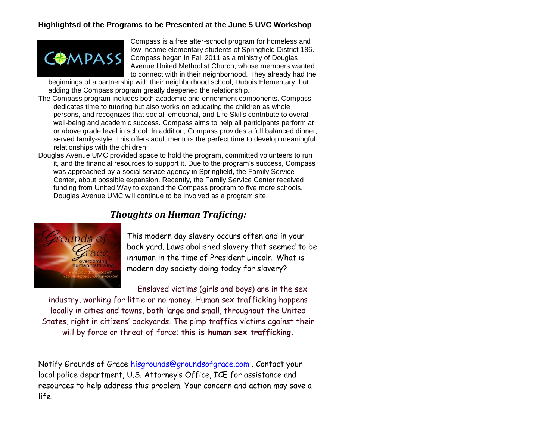## **Highlightsd of the Programs to be Presented at the June 5 UVC Workshop**



Compass is a free after-school program for homeless and low-income elementary students of Springfield District 186. Compass began in Fall 2011 as a ministry of Douglas Avenue United Methodist Church, whose members wanted to connect with in their neighborhood. They already had the

beginnings of a partnership with their neighborhood school, Dubois Elementary, but adding the Compass program greatly deepened the relationship.

- The Compass program includes both academic and enrichment components. Compass dedicates time to tutoring but also works on educating the children as whole persons, and recognizes that social, emotional, and Life Skills contribute to overall well-being and academic success. Compass aims to help all participants perform at or above grade level in school. In addition, Compass provides a full balanced dinner, served family-style. This offers adult mentors the perfect time to develop meaningful relationships with the children.
- Douglas Avenue UMC provided space to hold the program, committed volunteers to run it, and the financial resources to support it. Due to the program's success, Compass was approached by a social service agency in Springfield, the Family Service Center, about possible expansion. Recently, the Family Service Center received funding from United Way to expand the Compass program to five more schools. Douglas Avenue UMC will continue to be involved as a program site.





This modern day slavery occurs often and in your back yard. Laws abolished slavery that seemed to be inhuman in the time of President Lincoln. What is modern day society doing today for slavery?

Enslaved victims (girls and boys) are in the sex

industry, working for little or no money. Human sex trafficking happens locally in cities and towns, both large and small, throughout the United States, right in citizens' backyards. The pimp traffics victims against their will by force or threat of force; **this is human sex trafficking.**

Notify Grounds of Grace [hisgrounds@groundsofgrace.com](mailto:hisgrounds@groundsofgrace.com). Contact your local police department, U.S. Attorney's Office, ICE for assistance and resources to help address this problem. Your concern and action may save a life.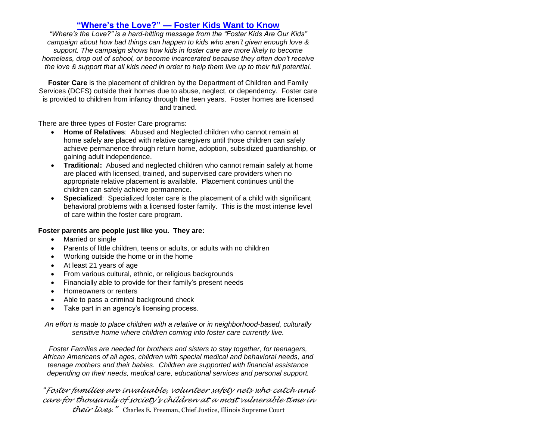### **"Where's the Love?" — [Foster Kids Want to Know](http://www.voices4kids.org/wheres-the-love-foster-kids-want-to-know/)**

*"Where's the Love?" is a hard-hitting message from the "Foster Kids Are Our Kids" campaign about how bad things can happen to kids who aren't given enough love & support. The campaign shows how kids in foster care are more likely to become homeless, drop out of school, or become incarcerated because they often don't receive the love & support that all kids need in order to help them live up to their full potential.*

**Foster Care** is the placement of children by the Department of Children and Family Services (DCFS) outside their homes due to abuse, neglect, or dependency. Foster care is provided to children from infancy through the teen years. Foster homes are licensed and trained.

There are three types of Foster Care programs:

- **Home of Relatives**: Abused and Neglected children who cannot remain at home safely are placed with relative caregivers until those children can safely achieve permanence through return home, adoption, subsidized guardianship, or gaining adult independence.
- **Traditional:** Abused and neglected children who cannot remain safely at home are placed with licensed, trained, and supervised care providers when no appropriate relative placement is available. Placement continues until the children can safely achieve permanence.
- **Specialized**: Specialized foster care is the placement of a child with significant behavioral problems with a licensed foster family. This is the most intense level of care within the foster care program.

#### **Foster parents are people just like you. They are:**

- Married or single
- Parents of little children, teens or adults, or adults with no children
- Working outside the home or in the home
- At least 21 years of age
- From various cultural, ethnic, or religious backgrounds
- Financially able to provide for their family's present needs
- Homeowners or renters
- Able to pass a criminal background check
- Take part in an agency's licensing process.

*An effort is made to place children with a relative or in neighborhood-based, culturally sensitive home where children coming into foster care currently live.*

*Foster Families are needed for brothers and sisters to stay together, for teenagers, African Americans of all ages, children with special medical and behavioral needs, and teenage mothers and their babies. Children are supported with financial assistance depending on their needs, medical care, educational services and personal support.*

*"Foster families are invaluable, volunteer safety nets who catch and care for thousands of society's children at a most vulnerable time in* 

*their lives."* Charles E. Freeman, Chief Justice, Illinois Supreme Court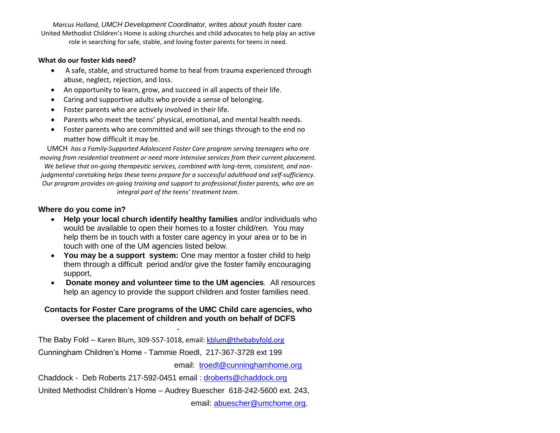*Marcus Holland, UMCH Development Coordinator, writes about youth foster care.* United Methodist Children's Home is asking churches and child advocates to help play an active role in searching for safe, stable, and loving foster parents for teens in need.

#### **What do our foster kids need?**

- A safe, stable, and structured home to heal from trauma experienced through abuse, neglect, rejection, and loss.
- An opportunity to learn, grow, and succeed in all aspects of their life.
- Caring and supportive adults who provide a sense of belonging.
- Foster parents who are actively involved in their life.
- Parents who meet the teens' physical, emotional, and mental health needs.
- Foster parents who are committed and will see things through to the end no matter how difficult it may be.

UMCH *has a Family-Supported Adolescent Foster Care program serving teenagers who are moving from residential treatment or need more intensive services from their current placement. We believe that on-going therapeutic services, combined with long-term, consistent, and nonjudgmental caretaking helps these teens prepare for a successful adulthood and self-sufficiency. Our program provides on-going training and support to professional foster parents, who are an integral part of the teens' treatment team.*

### **Where do you come in?**

- **Help your local church identify healthy families** and/or individuals who would be available to open their homes to a foster child/ren. You may help them be in touch with a foster care agency in your area or to be in touch with one of the UM agencies listed below.
- **You may be a support system:** One may mentor a foster child to help them through a difficult period and/or give the foster family encouraging support,
- **Donate money and volunteer time to the UM agencies**. All resources help an agency to provide the support children and foster families need.

#### **Contacts for Foster Care programs of the UMC Child care agencies, who oversee the placement of children and youth on behalf of DCFS .**

The Baby Fold - Karen Blum, 309-557-1018, email[: kblum@thebabyfold.org](mailto:kblum@thebabyfold.org) Cunningham Children's Home - Tammie Roedl, 217-367-3728 ext 199

email: [troedl@cunninghamhome.org](mailto:troedl@cunninghamhome.org)

Chaddock - Deb Roberts 217-592-0451 email : [droberts@chaddock.org](mailto:droberts@chaddock.org)

United Methodist Children's Home – Audrey Buescher 618-242-5600 ext. 243,

email: [abuescher@umchome.org.](mailto:abuescher@umchome.org)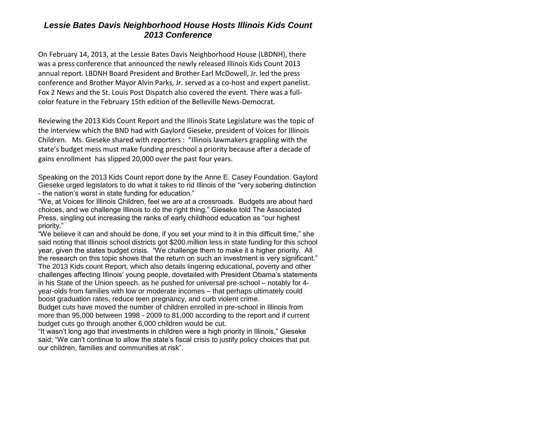## *Lessie Bates Davis Neighborhood House Hosts Illinois Kids Count 2013 Conference*

On February 14, 2013, at the Lessie Bates Davis Neighborhood House (LBDNH), there was a press conference that announced the newly released Illinois Kids Count 2013 annual report. LBDNH Board President and Brother Earl McDowell, Jr. led the press conference and Brother Mayor Alvin Parks, Jr. served as a co-host and expert panelist. Fox 2 News and the St. Louis Post Dispatch also covered the event. There was a fullcolor feature in the February 15th edition of the Belleville News-Democrat.

Reviewing the 2013 Kids Count Report and the Illinois State Legislature was the topic of the interview which the BND had with Gaylord Gieseke, president of Voices for Illinois Children. Ms. Gieseke shared with reporters : "Illinois lawmakers grappling with the state's budget mess must make funding preschool a priority because after a decade of gains enrollment has slipped 20,000 over the past four years.

Speaking on the 2013 Kids Count report done by the Anne E. Casey Foundation. Gaylord Gieseke urged legislators to do what it takes to rid Illinois of the "very sobering distinction - the nation's worst in state funding for education."

"We, at Voices for Illinois Children, feel we are at a crossroads. Budgets are about hard choices, and we challenge Illinois to do the right thing," Gieseke told The Associated Press, singling out increasing the ranks of early childhood education as "our highest priority."

"We believe it can and should be done, if you set your mind to it in this difficult time," she said noting that Illinois school districts got \$200.million less in state funding for this school year, given the states budget crisis. "We challenge them to make it a higher priority. All the research on this topic shows that the return on such an investment is very significant." The 2013 Kids count Report, which also details lingering educational, poverty and other challenges affecting Illinois' young people, dovetailed with President Obama's statements in his State of the Union speech. as he pushed for universal pre-school – notably for 4 year-olds from families with low or moderate incomes – that perhaps ultimately could boost graduation rates, reduce teen pregnancy, and curb violent crime.

Budget cuts have moved the number of children enrolled in pre-school in Illinois from more than 95,000 between 1998 - 2009 to 81,000 according to the report and if current budget cuts go through another 6,000 children would be cut.

"It wasn't long ago that investments in children were a high priority in Illinois," Gieseke said; "We can't continue to allow the state's fiscal crisis to justify policy choices that put our children, families and communities at risk".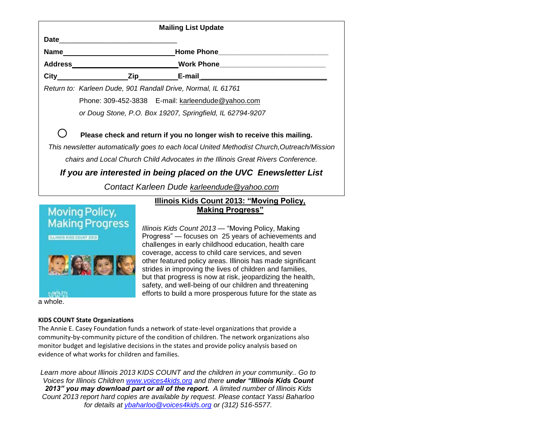| <b>Mailing List Update</b>                                                                |                                                                        |                                                           |  |
|-------------------------------------------------------------------------------------------|------------------------------------------------------------------------|-----------------------------------------------------------|--|
| <b>Date Date</b>                                                                          |                                                                        |                                                           |  |
|                                                                                           |                                                                        |                                                           |  |
|                                                                                           |                                                                        |                                                           |  |
|                                                                                           |                                                                        |                                                           |  |
|                                                                                           | Return to: Karleen Dude, 901 Randall Drive, Normal, IL 61761           |                                                           |  |
|                                                                                           |                                                                        | Phone: 309-452-3838 E-mail: karleendude@yahoo.com         |  |
|                                                                                           |                                                                        | or Doug Stone, P.O. Box 19207, Springfield, IL 62794-9207 |  |
|                                                                                           | Please check and return if you no longer wish to receive this mailing. |                                                           |  |
| This newsletter automatically goes to each local United Methodist Church,Outreach/Mission |                                                                        |                                                           |  |
| chairs and Local Church Child Advocates in the Illinois Great Rivers Conference.          |                                                                        |                                                           |  |
| If you are interested in being placed on the UVC Enewsletter List                         |                                                                        |                                                           |  |
| Contact Karleen Dude karleendude@yahoo.com                                                |                                                                        |                                                           |  |
| Illinois Kids Count 2013: "Moving Policy,                                                 |                                                                        |                                                           |  |



# **[Making Progress"](http://www.voices4kids.org/publications-multimedia/kids-count-reports/illinois-kids-count-2013/)**

*Illinois Kids Count 2013* — "Moving Policy, Making Progress" — focuses on 25 years of achievements and challenges in early childhood education, health care coverage, access to child care services, and seven other featured policy areas. Illinois has made significant strides in improving the lives of children and families, but that progress is now at risk, jeopardizing the health, safety, and well-being of our children and threatening efforts to build a more prosperous future for the state as

#### **KIDS COUNT State Organizations**

The Annie E. Casey Foundation funds a network of state-level organizations that provide a community-by-community picture of the condition of children. The network organizations also monitor budget and legislative decisions in the states and provide policy analysis based on evidence of what works for children and families.

*Learn more about Illinois 2013 KIDS COUNT and the children in your community.. Go to Voices for Illinois Children [www.voices4kids.org](http://www.voices4kids.org/) and there under "Illinois Kids Count 2013" you may download part or all of the report. A limited number of Illinois Kids Count 2013 report hard copies are available by request. Please contact Yassi Baharloo for details at [ybaharloo@voices4kids.org](mailto:ybaharloo@voices4kids.org) or (312) 516-5577.*